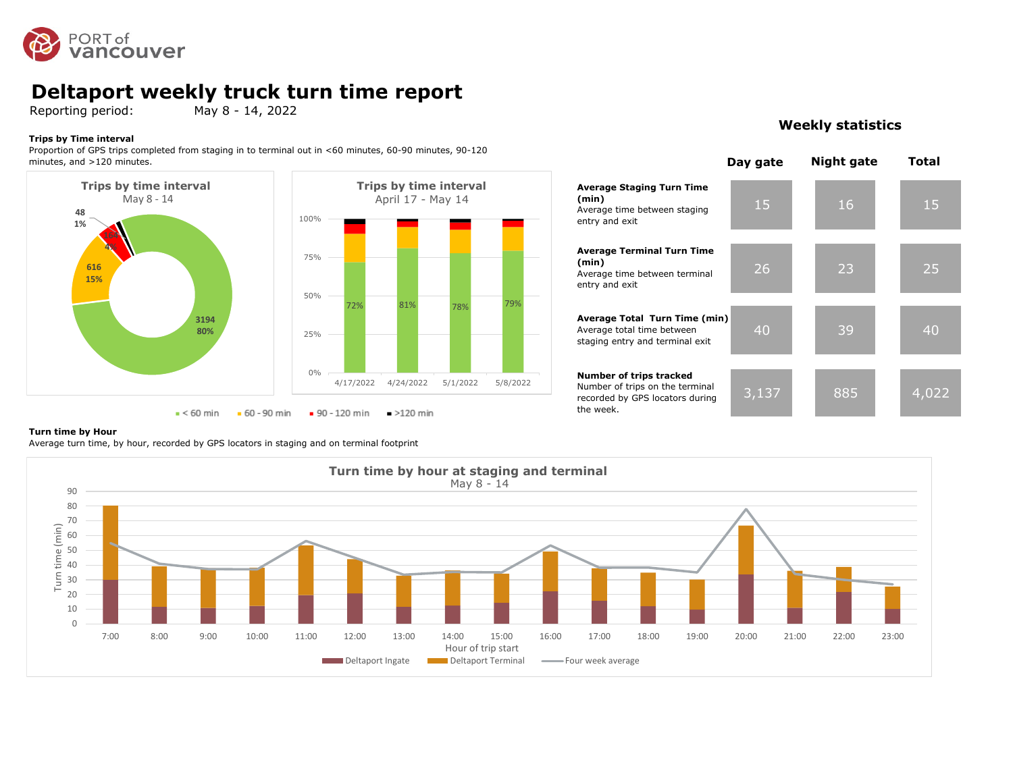

## **Deltaport weekly truck turn time report**

Reporting period: May 8 - 14, 2022

#### **Trips by Time interval**

Proportion of GPS trips completed from staging in to terminal out in <60 minutes, 60-90 minutes, 90-120 minutes, and >120 minutes.





## **Weekly statistics**



#### **Turn time by Hour**

Average turn time, by hour, recorded by GPS locators in staging and on terminal footprint

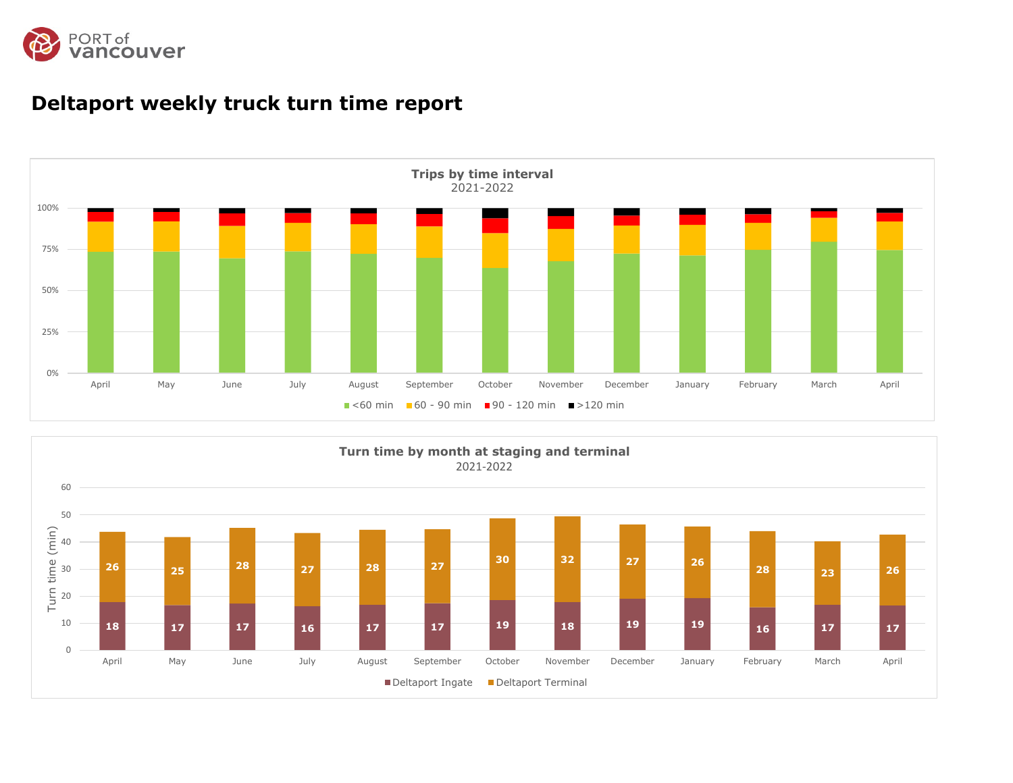



# **Deltaport weekly truck turn time report**

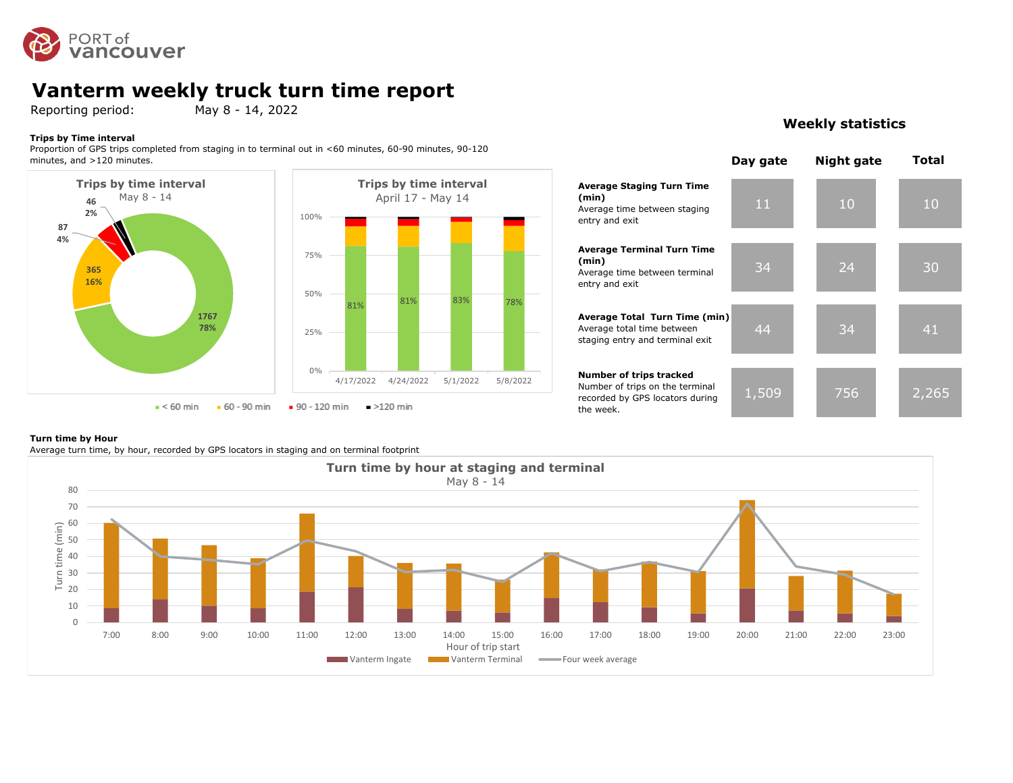

# **Vanterm weekly truck turn time report**

Reporting period: May 8 - 14, 2022

#### **Trips by Time interval**

Proportion of GPS trips completed from staging in to terminal out in <60 minutes, 60-90 minutes, 90-120 minutes, and >120 minutes.



# **(min) (min)** 81% 81% 83% 78% 4/17/2022 4/24/2022 5/1/2022 5/8/2022

## **Weekly statistics**



#### **Turn time by Hour**

Average turn time, by hour, recorded by GPS locators in staging and on terminal footprint

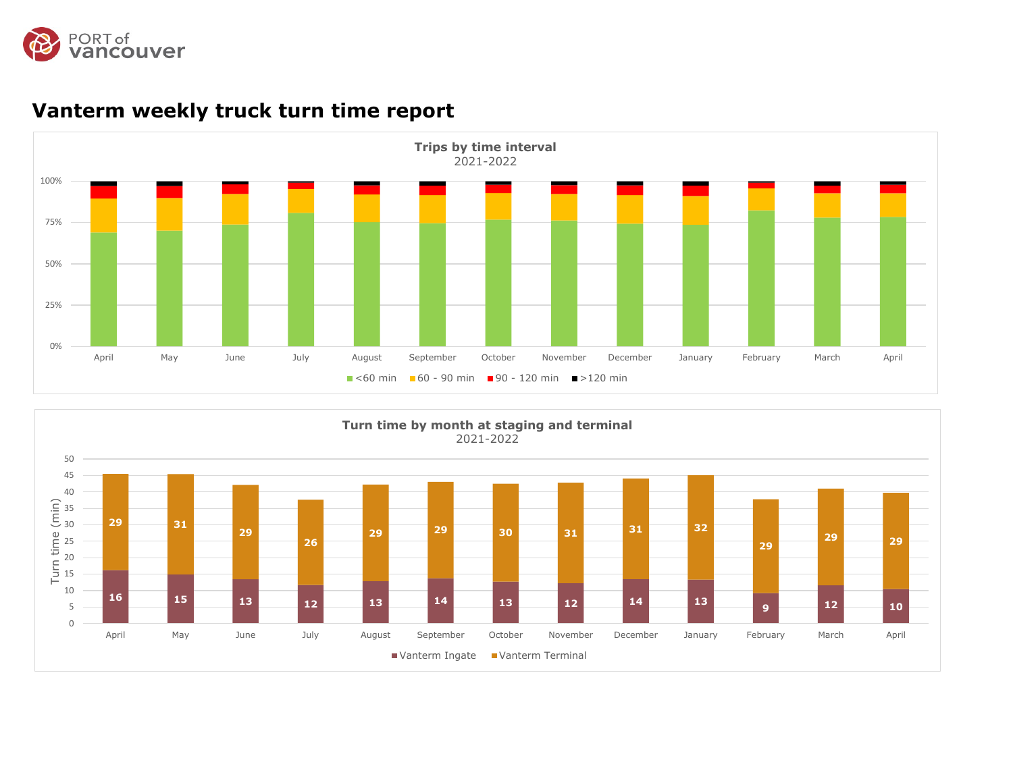



# **Vanterm weekly truck turn time report**

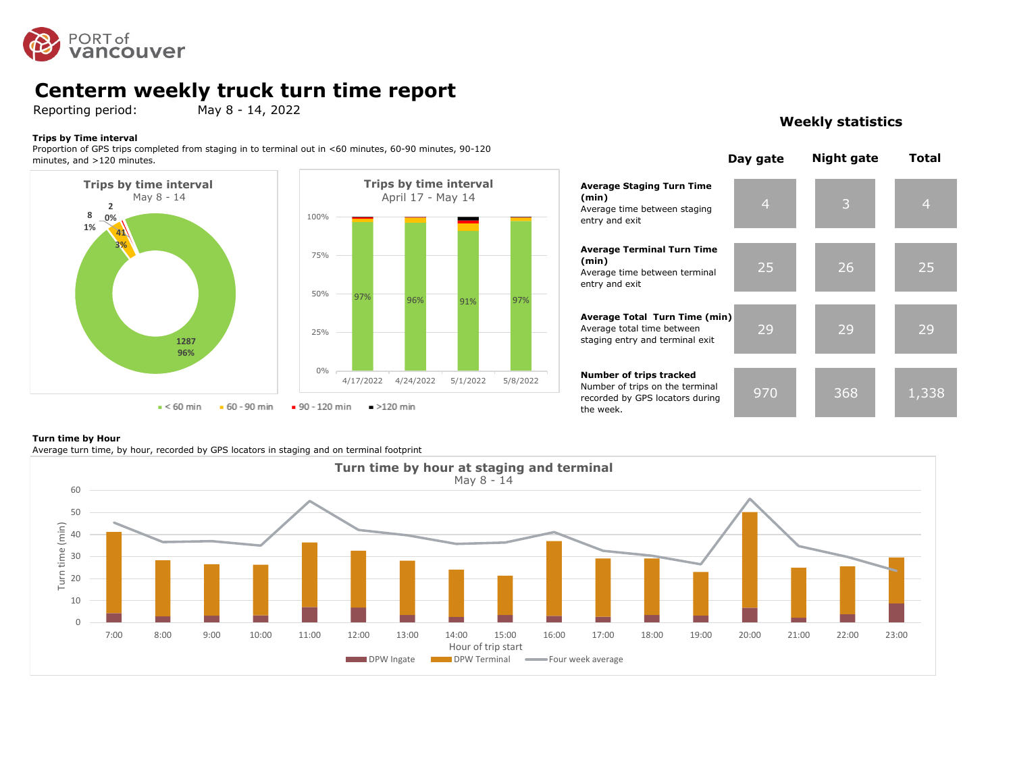

# **Centerm weekly truck turn time report**

Reporting period: May 8 - 14, 2022

#### **Trips by Time interval**

Proportion of GPS trips completed from staging in to terminal out in <60 minutes, 60-90 minutes, 90-120 minutes, and >120 minutes.



#### 4 3 4 25 26 25 29 29 29 970 368 1,338 **Average Staging Turn Time (min)** Average time between staging entry and exit **Average Terminal Turn Time (min)** Average time between terminal entry and exit **Average Total Turn Time (min)** Average total time between staging entry and terminal exit **Number of trips tracked** Number of trips on the terminal recorded by GPS locators during **Day gate Night gate Total**

#### **Turn time by Hour**

Average turn time, by hour, recorded by GPS locators in staging and on terminal footprint



the week.

### **Weekly statistics**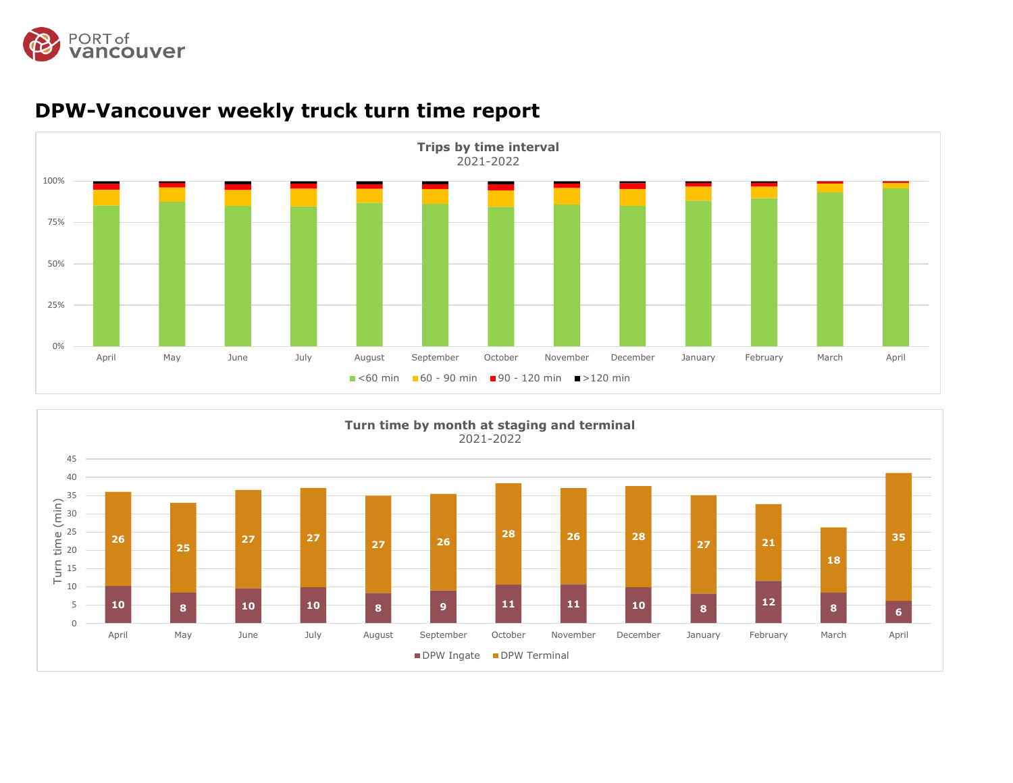



# **DPW-Vancouver weekly truck turn time report**

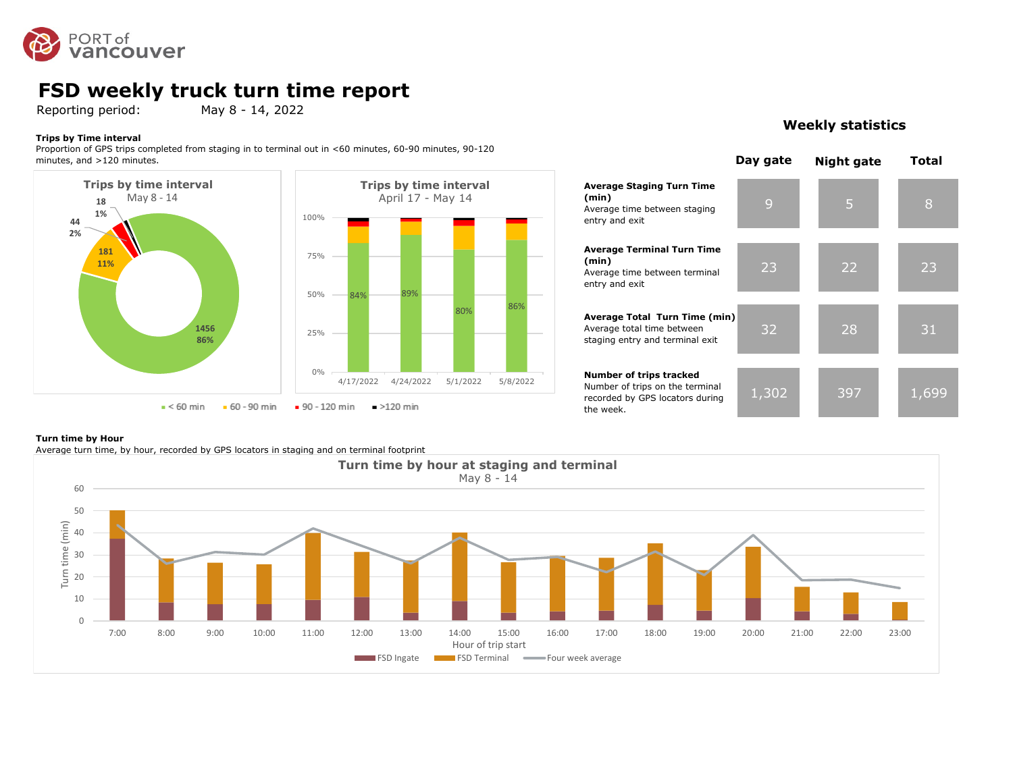

## **FSD weekly truck turn time report**

Reporting period: May 8 - 14, 2022

#### **Trips by Time interval**

Proportion of GPS trips completed from staging in to terminal out in <60 minutes, 60-90 minutes, 90-120 minutes, and >120 minutes.



## 9 5 8 23 22 23 32 28 31 **Average Staging Turn Time**  Average time between staging entry and exit **Average Terminal Turn Time**  Average time between terminal entry and exit **Average Total Turn Time (min)** Average total time between staging entry and terminal exit **Number of trips tracked**

1,302 397 1,699 Number of trips on the terminal recorded by GPS locators during the week.

**(min)**

**(min)**

#### **Turn time by Hour**

Average turn time, by hour, recorded by GPS locators in staging and on terminal footprint



## **Weekly statistics**

**Day gate Night gate Total**